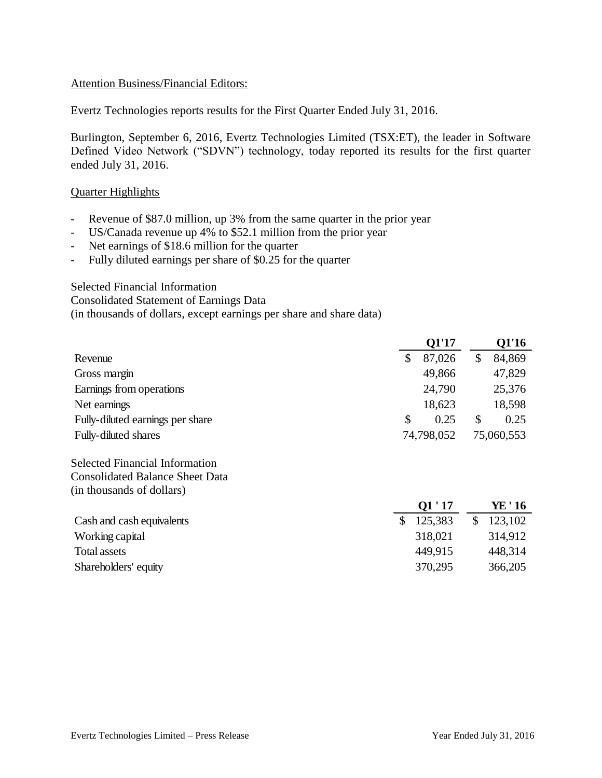#### Attention Business/Financial Editors:

Evertz Technologies reports results for the First Quarter Ended July 31, 2016.

Burlington, September 6, 2016, Evertz Technologies Limited (TSX:ET), the leader in Software Defined Video Network ("SDVN") technology, today reported its results for the first quarter ended July 31, 2016.

#### Quarter Highlights

- Revenue of \$87.0 million, up 3% from the same quarter in the prior year
- US/Canada revenue up 4% to \$52.1 million from the prior year
- Net earnings of \$18.6 million for the quarter
- Fully diluted earnings per share of \$0.25 for the quarter

#### Selected Financial Information

Consolidated Statement of Earnings Data (in thousands of dollars, except earnings per share and share data)

|                                        | <b>Q1'17</b>  |              | <b>Q1'16</b> |
|----------------------------------------|---------------|--------------|--------------|
| Revenue                                | \$<br>87,026  | $\mathbb{S}$ | 84,869       |
| Gross margin                           | 49,866        |              | 47,829       |
| Earnings from operations               | 24,790        |              | 25,376       |
| Net earnings                           | 18,623        |              | 18,598       |
| Fully-diluted earnings per share       | \$<br>0.25    | \$           | 0.25         |
| Fully-diluted shares                   | 74,798,052    |              | 75,060,553   |
| <b>Selected Financial Information</b>  |               |              |              |
| <b>Consolidated Balance Sheet Data</b> |               |              |              |
| (in thousands of dollars)              |               |              |              |
|                                        | Q1'17         |              | YE ' 16      |
| Cash and cash equivalents              | \$<br>125,383 | \$           | 123,102      |
| Working capital                        | 318,021       |              | 314,912      |
| <b>Total assets</b>                    | 449,915       |              | 448,314      |
| Shareholders' equity                   | 370,295       |              | 366,205      |
|                                        |               |              |              |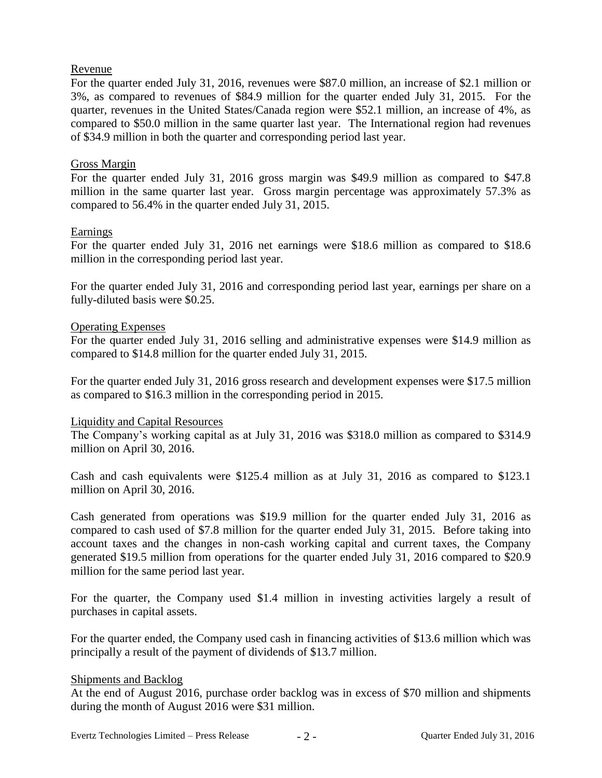# Revenue

For the quarter ended July 31, 2016, revenues were \$87.0 million, an increase of \$2.1 million or 3%, as compared to revenues of \$84.9 million for the quarter ended July 31, 2015. For the quarter, revenues in the United States/Canada region were \$52.1 million, an increase of 4%, as compared to \$50.0 million in the same quarter last year. The International region had revenues of \$34.9 million in both the quarter and corresponding period last year.

# Gross Margin

For the quarter ended July 31, 2016 gross margin was \$49.9 million as compared to \$47.8 million in the same quarter last year. Gross margin percentage was approximately 57.3% as compared to 56.4% in the quarter ended July 31, 2015.

# Earnings

For the quarter ended July 31, 2016 net earnings were \$18.6 million as compared to \$18.6 million in the corresponding period last year.

For the quarter ended July 31, 2016 and corresponding period last year, earnings per share on a fully-diluted basis were \$0.25.

# Operating Expenses

For the quarter ended July 31, 2016 selling and administrative expenses were \$14.9 million as compared to \$14.8 million for the quarter ended July 31, 2015.

For the quarter ended July 31, 2016 gross research and development expenses were \$17.5 million as compared to \$16.3 million in the corresponding period in 2015.

#### Liquidity and Capital Resources

The Company's working capital as at July 31, 2016 was \$318.0 million as compared to \$314.9 million on April 30, 2016.

Cash and cash equivalents were \$125.4 million as at July 31, 2016 as compared to \$123.1 million on April 30, 2016.

Cash generated from operations was \$19.9 million for the quarter ended July 31, 2016 as compared to cash used of \$7.8 million for the quarter ended July 31, 2015. Before taking into account taxes and the changes in non-cash working capital and current taxes, the Company generated \$19.5 million from operations for the quarter ended July 31, 2016 compared to \$20.9 million for the same period last year.

For the quarter, the Company used \$1.4 million in investing activities largely a result of purchases in capital assets.

For the quarter ended, the Company used cash in financing activities of \$13.6 million which was principally a result of the payment of dividends of \$13.7 million.

#### Shipments and Backlog

At the end of August 2016, purchase order backlog was in excess of \$70 million and shipments during the month of August 2016 were \$31 million.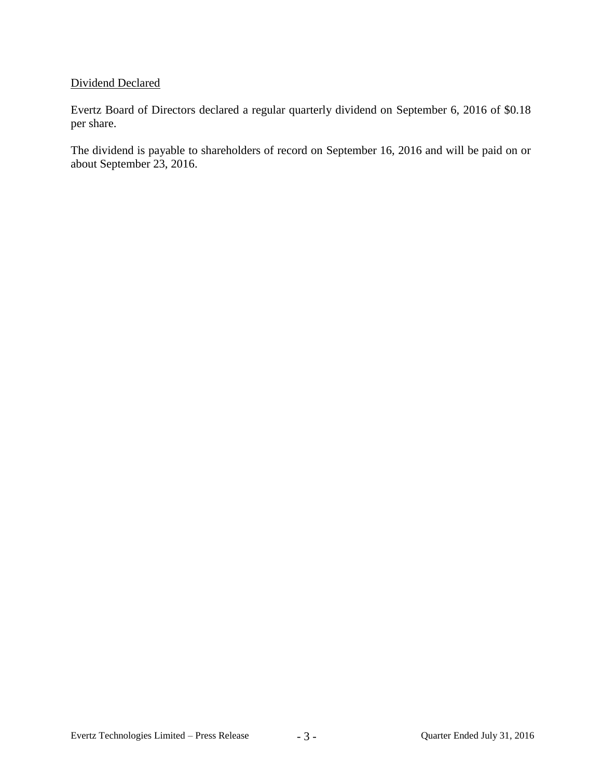# Dividend Declared

Evertz Board of Directors declared a regular quarterly dividend on September 6, 2016 of \$0.18 per share.

The dividend is payable to shareholders of record on September 16, 2016 and will be paid on or about September 23, 2016.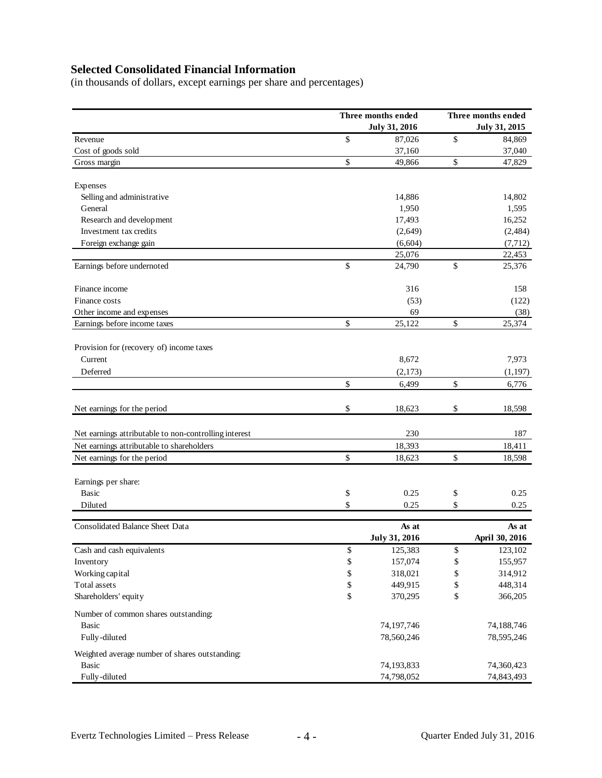# **Selected Consolidated Financial Information**

(in thousands of dollars, except earnings per share and percentages)

|                                                       | Three months ended   |    | Three months ended |  |
|-------------------------------------------------------|----------------------|----|--------------------|--|
|                                                       | <b>July 31, 2016</b> |    | July 31, 2015      |  |
| Revenue                                               | \$<br>87,026         | \$ | 84,869             |  |
| Cost of goods sold                                    | 37,160               |    | 37,040             |  |
| Gross margin                                          | \$<br>49,866         | \$ | 47,829             |  |
| Expenses                                              |                      |    |                    |  |
| Selling and administrative                            | 14,886               |    | 14,802             |  |
| General                                               | 1,950                |    | 1,595              |  |
| Research and development                              | 17,493               |    | 16,252             |  |
| Investment tax credits                                | (2,649)              |    | (2,484)            |  |
| Foreign exchange gain                                 | (6,604)              |    | (7, 712)           |  |
|                                                       | 25,076               |    | 22,453             |  |
| Earnings before undernoted                            | \$<br>24,790         | \$ | 25,376             |  |
| Finance income                                        | 316                  |    | 158                |  |
| Finance costs                                         | (53)                 |    | (122)              |  |
| Other income and expenses                             | 69                   |    | (38)               |  |
| Earnings before income taxes                          | \$<br>25,122         | \$ | 25,374             |  |
| Provision for (recovery of) income taxes              |                      |    |                    |  |
| Current                                               |                      |    |                    |  |
|                                                       | 8,672                |    | 7,973              |  |
| Deferred                                              | (2,173)              |    | (1, 197)           |  |
|                                                       | \$<br>6,499          | \$ | 6,776              |  |
| Net earnings for the period                           | \$<br>18,623         | \$ | 18,598             |  |
| Net earnings attributable to non-controlling interest | 230                  |    | 187                |  |
| Net earnings attributable to shareholders             | 18,393               |    | 18,411             |  |
| Net earnings for the period                           | \$<br>18,623         | \$ | 18,598             |  |
|                                                       |                      |    |                    |  |
| Earnings per share:                                   |                      |    |                    |  |
| <b>Basic</b>                                          | \$<br>0.25           | \$ | 0.25               |  |
| Diluted                                               | \$<br>0.25           | \$ | 0.25               |  |
| Consolidated Balance Sheet Data                       | As at                |    | As at              |  |
|                                                       | <b>July 31, 2016</b> |    | April 30, 2016     |  |
| Cash and cash equivalents                             | \$<br>125,383        | \$ | 123,102            |  |
| Inventory                                             | \$<br>157,074        | \$ | 155,957            |  |
| Working capital                                       | \$<br>318,021        | \$ | 314,912            |  |
| Total assets                                          | \$<br>449,915        | \$ | 448,314            |  |
| Shareholders' equity                                  | \$<br>370,295        | \$ | 366,205            |  |
| Number of common shares outstanding:                  |                      |    |                    |  |
| <b>Basic</b>                                          | 74,197,746           |    | 74,188,746         |  |
| Fully-diluted                                         | 78,560,246           |    | 78,595,246         |  |
| Weighted average number of shares outstanding:        |                      |    |                    |  |
| Basic                                                 | 74,193,833           |    | 74,360,423         |  |
| Fully-diluted                                         | 74,798,052           |    | 74,843,493         |  |